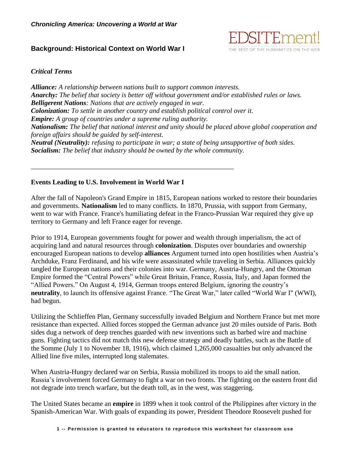### **Background: Historical Context on World War I**



#### *Critical Terms*

*Alliance: A relationship between nations built to support common interests. Anarchy: The belief that society is better off without government and/or established rules or laws. Belligerent Nations: Nations that are actively engaged in war. Colonization: To settle in another country and establish political control over it. Empire: A group of countries under a supreme ruling authority. Nationalism: The belief that national interest and unity should be placed above global cooperation and foreign affairs should be guided by self-interest. Neutral (Neutrality): refusing to participate in war; a state of being unsupportive of both sides. Socialism: The belief that industry should be owned by the whole community.*

#### **Events Leading to U.S. Involvement in World War I**

\_\_\_\_\_\_\_\_\_\_\_\_\_\_\_\_\_\_\_\_\_\_\_\_\_\_\_\_\_\_\_\_\_\_\_\_\_\_\_\_\_\_\_\_\_\_\_\_\_\_\_\_\_\_\_\_\_\_\_

After the fall of Napoleon's Grand Empire in 1815, European nations worked to restore their boundaries and governments. **Nationalism** led to many conflicts. In 1870, Prussia, with support from Germany, went to war with France. France's humiliating defeat in the Franco-Prussian War required they give up territory to Germany and left France eager for revenge.

Prior to 1914, European governments fought for power and wealth through imperialism, the act of acquiring land and natural resources through **colonization**. Disputes over boundaries and ownership encouraged European nations to develop **alliances** Argument turned into open hostilities when Austria's Archduke, Franz Ferdinand, and his wife were assassinated while traveling in Serbia. Alliances quickly tangled the European nations and their colonies into war. Germany, Austria-Hungry, and the Ottoman Empire formed the "Central Powers" while Great Britain, France, Russia, Italy, and Japan formed the "Allied Powers." On August 4, 1914, German troops entered Belgium, ignoring the country's **neutrality**, to launch its offensive against France. "The Great War," later called "World War I" (WWI), had begun.

Utilizing the Schlieffen Plan, Germany successfully invaded Belgium and Northern France but met more resistance than expected. Allied forces stopped the German advance just 20 miles outside of Paris. Both sides dug a network of deep trenches guarded with new inventions such as barbed wire and machine guns. Fighting tactics did not match this new defense strategy and deadly battles, such as the Battle of the Somme (July 1 to November 18, 1916), which claimed 1,265,000 casualties but only advanced the Allied line five miles, interrupted long stalemates.

When Austria-Hungry declared war on Serbia, Russia mobilized its troops to aid the small nation. Russia's involvement forced Germany to fight a war on two fronts. The fighting on the eastern front did not degrade into trench warfare, but the death toll, as in the west, was staggering.

The United States became an **empire** in 1899 when it took control of the Philippines after victory in the Spanish-American War. With goals of expanding its power, President Theodore Roosevelt pushed for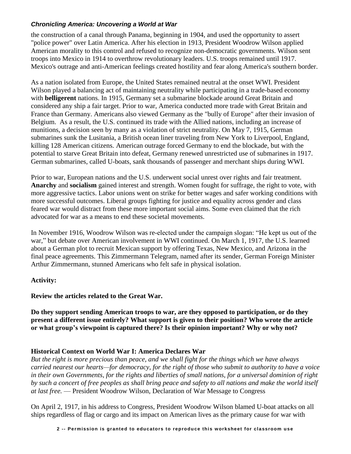# *Chronicling America: Uncovering a World at War*

the construction of a canal through Panama, beginning in 1904, and used the opportunity to assert "police power" over Latin America. After his election in 1913, President Woodrow Wilson applied American morality to this control and refused to recognize non-democratic governments. Wilson sent troops into Mexico in 1914 to overthrow revolutionary leaders. U.S. troops remained until 1917. Mexico's outrage and anti-American feelings created hostility and fear along America's southern border.

As a nation isolated from Europe, the United States remained neutral at the onset WWI. President Wilson played a balancing act of maintaining neutrality while participating in a trade-based economy with **belligerent** nations. In 1915, Germany set a submarine blockade around Great Britain and considered any ship a fair target. Prior to war, America conducted more trade with Great Britain and France than Germany. Americans also viewed Germany as the "bully of Europe" after their invasion of Belgium. As a result, the U.S. continued its trade with the Allied nations, including an increase of munitions, a decision seen by many as a violation of strict neutrality. On May 7, 1915, German submarines sunk the Lusitania, a British ocean liner traveling from New York to Liverpool, England, killing 128 American citizens. American outrage forced Germany to end the blockade, but with the potential to starve Great Britain into defeat, Germany renewed unrestricted use of submarines in 1917. German submarines, called U-boats, sank thousands of passenger and merchant ships during WWI.

Prior to war, European nations and the U.S. underwent social unrest over rights and fair treatment. **Anarchy** and **socialism** gained interest and strength. Women fought for suffrage, the right to vote, with more aggressive tactics. Labor unions went on strike for better wages and safer working conditions with more successful outcomes. Liberal groups fighting for justice and equality across gender and class feared war would distract from these more important social aims. Some even claimed that the rich advocated for war as a means to end these societal movements.

In November 1916, Woodrow Wilson was re-elected under the campaign slogan: "He kept us out of the war," but debate over American involvement in WWI continued. On March 1, 1917, the U.S. learned about a German plot to recruit Mexican support by offering Texas, New Mexico, and Arizona in the final peace agreements. This Zimmermann Telegram, named after its sender, German Foreign Minister Arthur Zimmermann, stunned Americans who felt safe in physical isolation.

## **Activity:**

**Review the articles related to the Great War.** 

**Do they support sending American troops to war, are they opposed to participation, or do they present a different issue entirely? What support is given to their position? Who wrote the article or what group's viewpoint is captured there? Is their opinion important? Why or why not?**

# **Historical Context on World War I: America Declares War**

*But the right is more precious than peace, and we shall fight for the things which we have always carried nearest our hearts—for democracy, for the right of those who submit to authority to have a voice in their own Governments, for the rights and liberties of small nations, for a universal dominion of right by such a concert of free peoples as shall bring peace and safety to all nations and make the world itself at last free.* — President Woodrow Wilson, Declaration of War Message to Congress

On April 2, 1917, in his address to Congress, President Woodrow Wilson blamed U-boat attacks on all ships regardless of flag or cargo and its impact on American lives as the primary cause for war with

**2 -- Permission is granted to educators to reproduce thi s worksheet for classroom use**